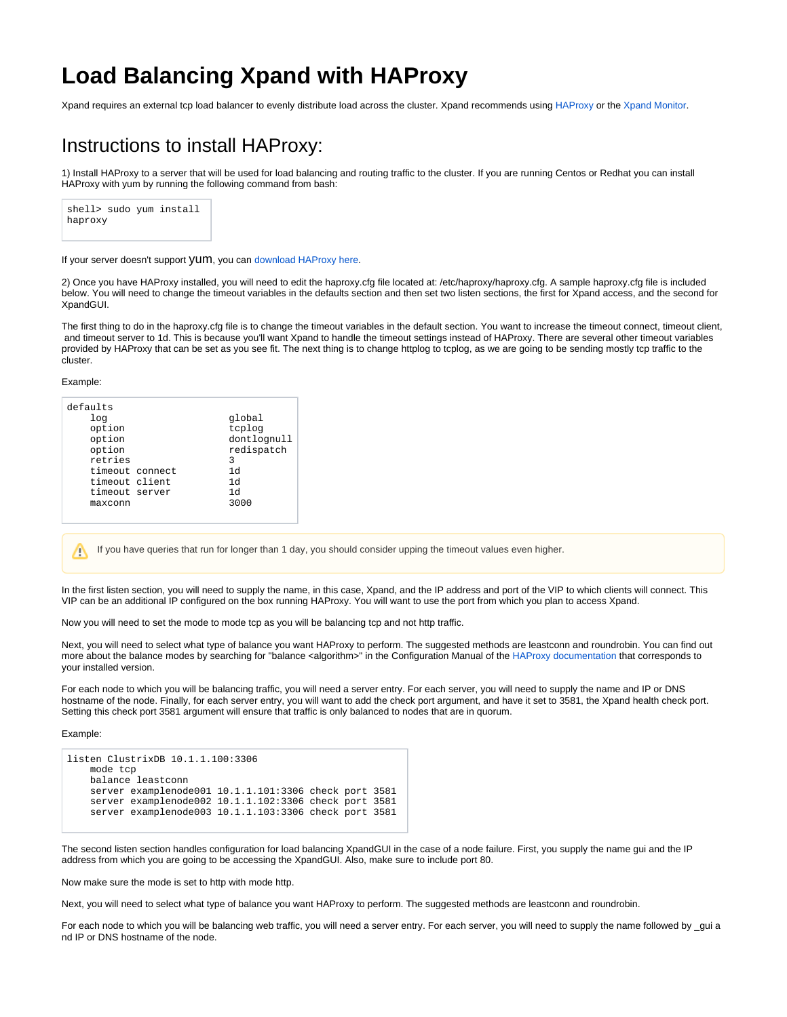## **Load Balancing Xpand with HAProxy**

Xpand requires an external tcp load balancer to evenly distribute load across the cluster. Xpand recommends using [HAProxy](http://haproxy.org) or the [Xpand Monitor](https://mariadb.com/kb/en/mariadb-maxscale-24-configuring-the-xpand-monitor/).

## Instructions to install HAProxy:

1) Install HAProxy to a server that will be used for load balancing and routing traffic to the cluster. If you are running Centos or Redhat you can install HAProxy with yum by running the following command from bash:



If your server doesn't support yum, you can [download HAProxy here.](http://haproxy.1wt.eu/#down)

2) Once you have HAProxy installed, you will need to edit the haproxy.cfg file located at: /etc/haproxy/haproxy.cfg. A sample haproxy.cfg file is included below. You will need to change the timeout variables in the defaults section and then set two listen sections, the first for Xpand access, and the second for XpandGUI.

The first thing to do in the haproxy.cfg file is to change the timeout variables in the default section. You want to increase the timeout connect, timeout client, and timeout server to 1d. This is because you'll want Xpand to handle the timeout settings instead of HAProxy. There are several other timeout variables provided by HAProxy that can be set as you see fit. The next thing is to change httplog to tcplog, as we are going to be sending mostly tcp traffic to the cluster.

Example:

Λ

| defaults       |                 |             |
|----------------|-----------------|-------------|
| log            |                 | global      |
| option         |                 | tcplog      |
| option         |                 | dontlognull |
| option         |                 | redispatch  |
| retries        |                 | 3           |
|                | timeout connect | 1d          |
| timeout client |                 | 1d          |
| timeout server |                 | 1d          |
| maxconn        |                 | 3000        |
|                |                 |             |

If you have queries that run for longer than 1 day, you should consider upping the timeout values even higher.

In the first listen section, you will need to supply the name, in this case, Xpand, and the IP address and port of the VIP to which clients will connect. This VIP can be an additional IP configured on the box running HAProxy. You will want to use the port from which you plan to access Xpand.

Now you will need to set the mode to mode tcp as you will be balancing tcp and not http traffic.

Next, you will need to select what type of balance you want HAProxy to perform. The suggested methods are leastconn and roundrobin. You can find out more about the balance modes by searching for "balance <algorithm>" in the Configuration Manual of the [HAProxy documentation](http://cbonte.github.io/haproxy-dconv/) that corresponds to your installed version.

For each node to which you will be balancing traffic, you will need a server entry. For each server, you will need to supply the name and IP or DNS hostname of the node. Finally, for each server entry, you will want to add the check port argument, and have it set to 3581, the Xpand health check port. Setting this check port 3581 argument will ensure that traffic is only balanced to nodes that are in quorum.

Example:

```
listen ClustrixDB 10.1.1.100:3306
    mode tcp
    balance leastconn
    server examplenode001 10.1.1.101:3306 check port 3581
    server examplenode002 10.1.1.102:3306 check port 3581
    server examplenode003 10.1.1.103:3306 check port 3581
```
The second listen section handles configuration for load balancing XpandGUI in the case of a node failure. First, you supply the name gui and the IP address from which you are going to be accessing the XpandGUI. Also, make sure to include port 80.

Now make sure the mode is set to http with mode http.

Next, you will need to select what type of balance you want HAProxy to perform. The suggested methods are leastconn and roundrobin.

For each node to which you will be balancing web traffic, you will need a server entry. For each server, you will need to supply the name followed by \_gui a nd IP or DNS hostname of the node.